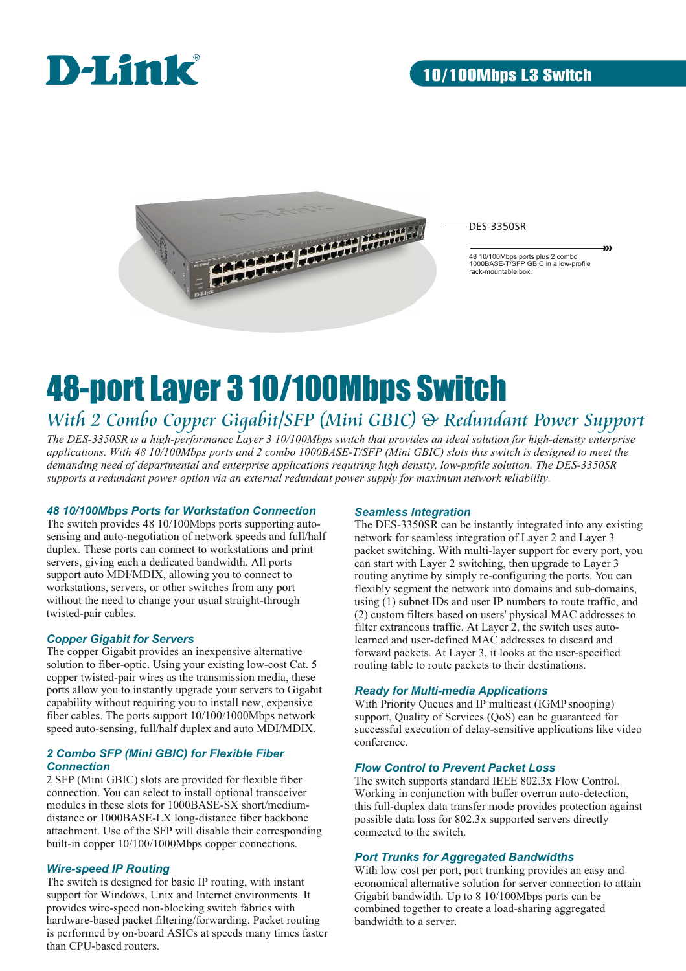



DES-3350SR

48 10/100Mbps ports plus 2 combo 1000BASE-T/SFP GBIC in a low-profile rack-mountable box.

yy)

## 48-port Layer 3 10/100Mbps Switch *With 2 Combo Copper Gigabit/SFP (Mini GBIC) & Redundant Power Support*

*The DES-3350SR is a high-performance Layer 3 10/100Mbps switch that provides an ideal solution for high-density enterprise applications. With 48 10/100Mbps ports and 2 combo 1000BASE-T/SFP (Mini GBIC) slots this switch is designed to meet the demanding need of departmental and enterprise applications requiring high density, low-profile solution. The DES-3350SR supports a redundant power option via an external redundant power supply for maximum network reliability.*

## *48 10/100Mbps Ports for Workstation Connection*

The switch provides 48 10/100Mbps ports supporting autosensing and auto-negotiation of network speeds and full/half duplex. These ports can connect to workstations and print servers, giving each a dedicated bandwidth. All ports support auto MDI/MDIX, allowing you to connect to workstations, servers, or other switches from any port without the need to change your usual straight-through twisted-pair cables.

## *Copper Gigabit for Servers*

The copper Gigabit provides an inexpensive alternative solution to fiber-optic. Using your existing low-cost Cat. 5 copper twisted-pair wires as the transmission media, these ports allow you to instantly upgrade your servers to Gigabit capability without requiring you to install new, expensive fiber cables. The ports support  $10/100/1000$ Mbps network speed auto-sensing, full/half duplex and auto MDI/MDIX.

## *2 Combo SFP (Mini GBIC) for Flexible Fiber Connection*

2 SFP (Mini GBIC) slots are provided for flexible fiber connection. You can select to install optional transceiver modules in these slots for 1000BASE-SX short/mediumdistance or 1000BASE-LX long-distance fiber backbone attachment. Use of the SFP will disable their corresponding built-in copper 10/100/1000Mbps copper connections.

## *Wire-speed IP Routing*

The switch is designed for basic IP routing, with instant support for Windows, Unix and Internet environments. It provides wire-speed non-blocking switch fabrics with hardware-based packet filtering/forwarding. Packet routing is performed by on-board ASICs at speeds many times faster than CPU-based routers.

## *Seamless Integration*

The DES-3350SR can be instantly integrated into any existing network for seamless integration of Layer 2 and Layer 3 packet switching. With multi-layer support for every port, you can start with Layer 2 switching, then upgrade to Layer 3 routing anytime by simply re-configuring the ports. You can flexibly segment the network into domains and sub-domains, using (1) subnet IDs and user IP numbers to route traffic, and (2) custom filters based on users' physical MAC addresses to filter extraneous traffic. At Layer 2, the switch uses autolearned and user-defined MAC addresses to discard and forward packets. At Layer 3, it looks at the user-specified routing table to route packets to their destinations.

## *Ready for Multi-media Applications*

With Priority Queues and IP multicast (IGMP snooping) support, Quality of Services (QoS) can be guaranteed for successful execution of delay-sensitive applications like video conference.

## *Flow Control to Prevent Packet Loss*

The switch supports standard IEEE 802.3x Flow Control. Working in conjunction with buffer overrun auto-detection, this full-duplex data transfer mode provides protection against possible data loss for 802.3x supported servers directly connected to the switch.

## *Port Trunks for Aggregated Bandwidths*

With low cost per port, port trunking provides an easy and economical alternative solution for server connection to attain Gigabit bandwidth. Up to 8 10/100Mbps ports can be combined together to create a load-sharing aggregated bandwidth to a server.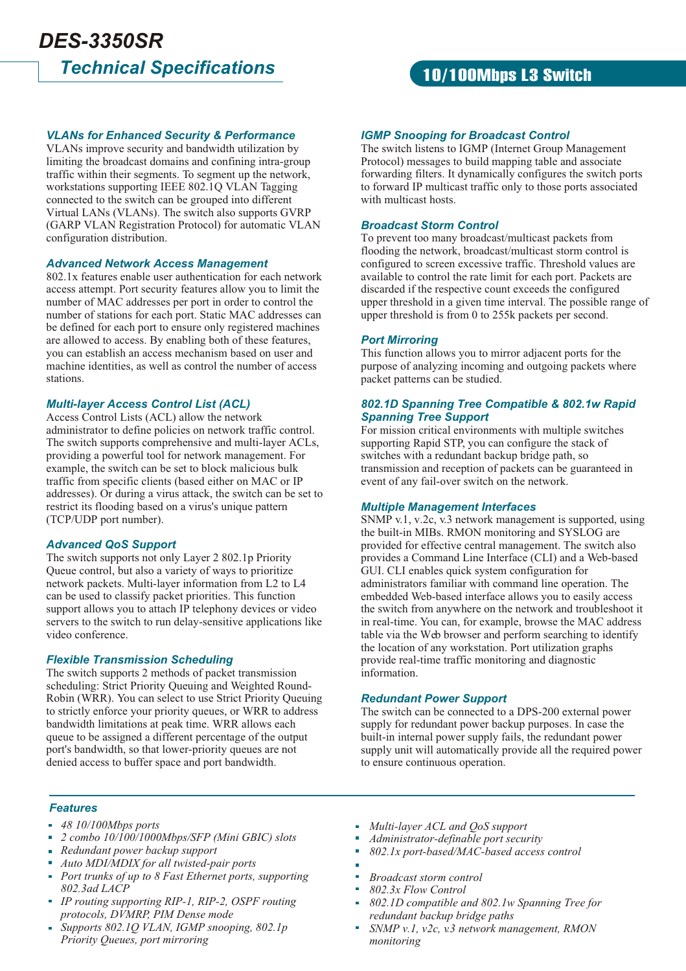## *Technical Specifications DES-3350SR*

## 10/100Mbps L3 Switch

## *VLANs for Enhanced Security & Performance*

VLANs improve security and bandwidth utilization by limiting the broadcast domains and confining intra-group traffic within their segments. To segment up the network, workstations supporting IEEE 802.1Q VLAN Tagging connected to the switch can be grouped into different Virtual LANs (VLANs). The switch also supports GVRP (GARP VLAN Registration Protocol) for automatic VLAN configuration distribution.

## *Advanced Network Access Management*

802.1x features enable user authentication for each network access attempt. Port security features allow you to limit the number of MAC addresses per port in order to control the number of stations for each port. Static MAC addresses can be defined for each port to ensure only registered machines are allowed to access. By enabling both of these features, you can establish an access mechanism based on user and machine identities, as well as control the number of access stations.

## *Multi-layer Access Control List (ACL)*

Access Control Lists (ACL) allow the network administrator to define policies on network traffic control. The switch supports comprehensive and multi-layer ACLs, providing a powerful tool for network management. For example, the switch can be set to block malicious bulk traffic from specific clients (based either on MAC or IP addresses). Or during a virus attack, the switch can be set to restrict its flooding based on a virus's unique pattern (TCP/UDP port number).

## *Advanced QoS Support*

The switch supports not only Layer 2 802.1p Priority Queue control, but also a variety of ways to prioritize network packets. Multi-layer information from L2 to L4 can be used to classify packet priorities. This function support allows you to attach IP telephony devices or video servers to the switch to run delay-sensitive applications like video conference.

### *Flexible Transmission Scheduling*

The switch supports 2 methods of packet transmission scheduling: Strict Priority Queuing and Weighted Round-Robin (WRR). You can select to use Strict Priority Queuing to strictly enforce your priority queues, or WRR to address bandwidth limitations at peak time. WRR allows each queue to be assigned a different percentage of the output port's bandwidth, so that lower-priority queues are not denied access to buffer space and port bandwidth.

## *IGMP Snooping for Broadcast Control*

The switch listens to IGMP (Internet Group Management Protocol) messages to build mapping table and associate forwarding filters. It dynamically configures the switch ports to forward IP multicast traffic only to those ports associated with multicast hosts.

## *Broadcast Storm Control*

To prevent too many broadcast/multicast packets from flooding the network, broadcast/multicast storm control is configured to screen excessive traffic. Threshold values are available to control the rate limit for each port. Packets are discarded if the respective count exceeds the configured upper threshold in a given time interval. The possible range of upper threshold is from 0 to 255k packets per second.

## *Port Mirroring*

This function allows you to mirror adjacent ports for the purpose of analyzing incoming and outgoing packets where packet patterns can be studied.

## *802.1D Spanning Tree Compatible & 802.1w Rapid Spanning Tree Support*

For mission critical environments with multiple switches supporting Rapid STP, you can configure the stack of switches with a redundant backup bridge path, so transmission and reception of packets can be guaranteed in event of any fail-over switch on the network.

### *Multiple Management Interfaces*

SNMP v.1, v.2c, v.3 network management is supported, using the built-in MIBs. RMON monitoring and SYSLOG are provided for effective central management. The switch also provides a Command Line Interface (CLI) and a Web-based GUI. CLI enables quick system configuration for administrators familiar with command line operation. The embedded Web-based interface allows you to easily access the switch from anywhere on the network and troubleshoot it in real-time. You can, for example, browse the MAC address table via the Web browser and perform searching to identify the location of any workstation. Port utilization graphs provide real-time traffic monitoring and diagnostic information.

### *Redundant Power Support*

The switch can be connected to a DPS-200 external power supply for redundant power backup purposes. In case the built-in internal power supply fails, the redundant power supply unit will automatically provide all the required power to ensure continuous operation.

### *Features*

- *48 10/100Mbps ports*
- *2 combo 10/100/1000Mbps/SFP (Mini GBIC) slots*
- *Redundant power backup support*
- *Auto MDI/MDIX for all twisted-pair ports*
- *Port trunks of up to 8 Fast Ethernet ports, supporting 802.3ad LACP*
- *IP routing supporting RIP-1, RIP-2, OSPF routing protocols, DVMRP, PIM Dense mode*
- *Supports 802.1Q VLAN, IGMP snooping, 802.1p Priority Queues, port mirroring*
- *Multi-layer ACL and QoS support*
- *Administrator-definable port security*
- *802.1x port-based/MAC-based access control*
- 
- *Broadcast storm control*
- *802.3x Flow Control*
- *802.1D compatible and 802.1w Spanning Tree for redundant backup bridge paths*
- *SNMP v.1, v2c, v.3 network management, RMON monitoring*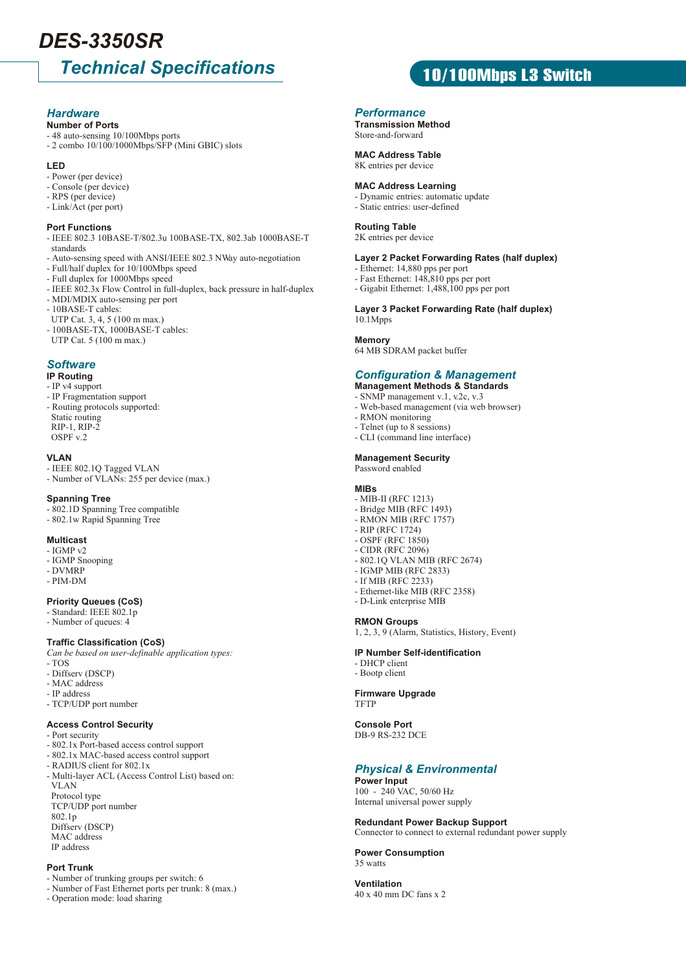## *Technical Specifications DES-3350SR*

## *Hardware*

#### **Number of Ports**

- 48 auto-sensing 10/100Mbps ports
- 2 combo 10/100/1000Mbps/SFP (Mini GBIC) slots

#### **LED**

- Power (per device)
- Console (per device)
- RPS (per device)
- Link/Act (per port)

#### **Port Functions**

- IEEE 802.3 10BASE-T/802.3u 100BASE-TX, 802.3ab 1000BASE-T standards
- Auto-sensing speed with ANSI/IEEE 802.3 NWay auto-negotiation
- Full/half duplex for 10/100Mbps speed
- Full duplex for 1000Mbps speed
- IEEE 802.3x Flow Control in full-duplex, back pressure in half-duplex
- MDI/MDIX auto-sensing per port
- 10BASE-T cables:
- UTP Cat. 3, 4, 5 (100 m max.)
- 100BASE-TX, 1000BASE-T cables:
- UTP Cat. 5 (100 m max.)

## *Software*

#### **IP Routing**

- IP v4 support
- IP Fragmentation support
- Routing protocols supported: Static routing RIP-1, RIP-2 OSPF v.2

#### **VLAN**

- IEEE 802.1Q Tagged VLAN
- Number of VLANs: 255 per device (max.)

#### **Spanning Tree**

- 802.1D Spanning Tree compatible
- 802.1w Rapid Spanning Tree

#### **Multicast**

- IGMP v2
- IGMP Snooping
- DVMRP - PIM-DM
- 

### **Priority Queues (CoS)**

- Standard: IEEE 802.1p
- Number of queues: 4

#### **Traffic Classification (CoS)**

*Can be based on user-definable application types:*

- TOS
- Diffserv (DSCP) - MAC address
- IP address
- TCP/UDP port number

## **Access Control Security**

- Port security
- 802.1x Port-based access control support
- 802.1x MAC-based access control support
- RADIUS client for 802.1x
- Multi-layer ACL (Access Control List) based on: VLAN Protocol type TCP/UDP port number
- 802.1p Diffserv (DSCP) MAC address IP address

#### **Port Trunk**

- Number of trunking groups per switch: 6
- Number of Fast Ethernet ports per trunk: 8 (max.)
- Operation mode: load sharing

## *Performance*

**Transmission Method** Store-and-forward

#### **MAC Address Table**

8K entries per device

#### **MAC Address Learning**

- Dynamic entries: automatic update
- Static entries: user-defined

#### **Routing Table**

2K entries per device

#### **Layer 2 Packet Forwarding Rates (half duplex)**

10/100Mbps L3 Switch

- Ethernet: 14,880 pps per port
- Fast Ethernet: 148,810 pps per port
- Gigabit Ethernet: 1,488,100 pps per port

#### **Layer 3 Packet Forwarding Rate (half duplex)** 10.1Mpps

#### **Memory**

64 MB SDRAM packet buffer

## *Configuration & Management*

**Management Methods & Standards**

- SNMP management v.1, v.2c, v.3 - Web-based management (via web browser)
- RMON monitoring
- Telnet (up to 8 sessions)
- CLI (command line interface)

**Management Security** Password enabled

#### **MIBs**

- MIB-II (RFC 1213)
- Bridge MIB (RFC 1493)
- RMON MIB (RFC 1757)
- RIP (RFC 1724) - OSPF (RFC 1850)
- CIDR (RFC 2096)
- 802.1Q VLAN MIB (RFC 2674)
- IGMP MIB (RFC 2833)
- If MIB (RFC 2233)
- Ethernet-like MIB (RFC 2358)
- D-Link enterprise MIB

#### **RMON Groups**

1, 2, 3, 9 (Alarm, Statistics, History, Event)

#### **IP Number Self-identification**

- DHCP client
- Bootp client

**Firmware Upgrade TFTP** 

**Console Port** DB-9 RS-232 DCE

#### *Physical & Environmental* **Power Input**

**Redundant Power Backup Support**

Connector to connect to external redundant power supply

100 - 240 VAC, 50/60 Hz Internal universal power supply

**Power Consumption**

40 x 40 mm DC fans x 2

35 watts **Ventilation**